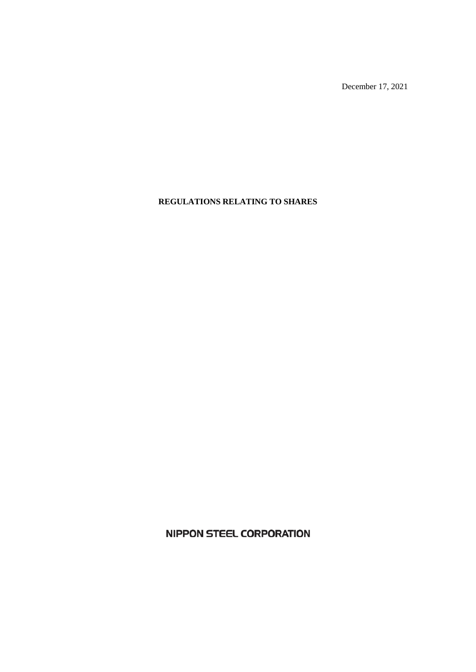December 17, 2021

# **REGULATIONS RELATING TO SHARES**

**NIPPON STEEL CORPORATION**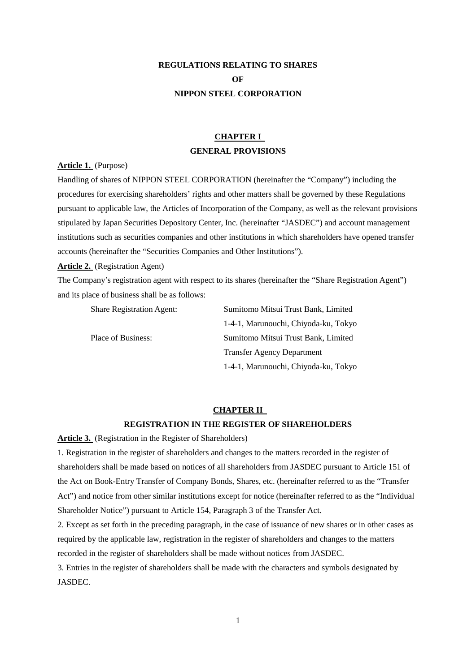# **REGULATIONS RELATING TO SHARES OF NIPPON STEEL CORPORATION**

# **CHAPTER I GENERAL PROVISIONS**

**Article 1.** (Purpose)

Handling of shares of NIPPON STEEL CORPORATION (hereinafter the "Company") including the procedures for exercising shareholders' rights and other matters shall be governed by these Regulations pursuant to applicable law, the Articles of Incorporation of the Company, as well as the relevant provisions stipulated by Japan Securities Depository Center, Inc. (hereinafter "JASDEC") and account management institutions such as securities companies and other institutions in which shareholders have opened transfer accounts (hereinafter the "Securities Companies and Other Institutions").

### **Article 2.** (Registration Agent)

The Company's registration agent with respect to its shares (hereinafter the "Share Registration Agent") and its place of business shall be as follows:

| <b>Share Registration Agent:</b> | Sumitomo Mitsui Trust Bank, Limited  |
|----------------------------------|--------------------------------------|
|                                  | 1-4-1, Marunouchi, Chiyoda-ku, Tokyo |
| Place of Business:               | Sumitomo Mitsui Trust Bank, Limited  |
|                                  | <b>Transfer Agency Department</b>    |
|                                  | 1-4-1, Marunouchi, Chiyoda-ku, Tokyo |

### **CHAPTER II**

### **REGISTRATION IN THE REGISTER OF SHAREHOLDERS**

**Article 3.** (Registration in the Register of Shareholders)

1. Registration in the register of shareholders and changes to the matters recorded in the register of shareholders shall be made based on notices of all shareholders from JASDEC pursuant to Article 151 of the Act on Book-Entry Transfer of Company Bonds, Shares, etc. (hereinafter referred to as the "Transfer Act") and notice from other similar institutions except for notice (hereinafter referred to as the "Individual Shareholder Notice") pursuant to Article 154, Paragraph 3 of the Transfer Act.

2. Except as set forth in the preceding paragraph, in the case of issuance of new shares or in other cases as required by the applicable law, registration in the register of shareholders and changes to the matters recorded in the register of shareholders shall be made without notices from JASDEC.

3. Entries in the register of shareholders shall be made with the characters and symbols designated by JASDEC.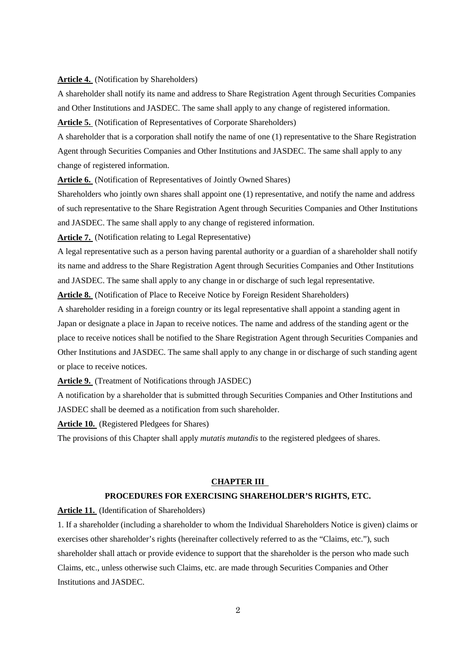### **Article 4.** (Notification by Shareholders)

A shareholder shall notify its name and address to Share Registration Agent through Securities Companies and Other Institutions and JASDEC. The same shall apply to any change of registered information.

**Article 5.** (Notification of Representatives of Corporate Shareholders)

A shareholder that is a corporation shall notify the name of one (1) representative to the Share Registration Agent through Securities Companies and Other Institutions and JASDEC. The same shall apply to any change of registered information.

**Article 6.** (Notification of Representatives of Jointly Owned Shares)

Shareholders who jointly own shares shall appoint one (1) representative, and notify the name and address of such representative to the Share Registration Agent through Securities Companies and Other Institutions and JASDEC. The same shall apply to any change of registered information.

**Article 7.** (Notification relating to Legal Representative)

A legal representative such as a person having parental authority or a guardian of a shareholder shall notify its name and address to the Share Registration Agent through Securities Companies and Other Institutions and JASDEC. The same shall apply to any change in or discharge of such legal representative.

**Article 8.** (Notification of Place to Receive Notice by Foreign Resident Shareholders)

A shareholder residing in a foreign country or its legal representative shall appoint a standing agent in Japan or designate a place in Japan to receive notices. The name and address of the standing agent or the place to receive notices shall be notified to the Share Registration Agent through Securities Companies and Other Institutions and JASDEC. The same shall apply to any change in or discharge of such standing agent or place to receive notices.

**Article 9.** (Treatment of Notifications through JASDEC)

A notification by a shareholder that is submitted through Securities Companies and Other Institutions and JASDEC shall be deemed as a notification from such shareholder.

**Article 10.** (Registered Pledgees for Shares)

The provisions of this Chapter shall apply *mutatis mutandis* to the registered pledgees of shares.

#### **CHAPTER III**

## **PROCEDURES FOR EXERCISING SHAREHOLDER'S RIGHTS, ETC.**

**Article 11.** (Identification of Shareholders)

1. If a shareholder (including a shareholder to whom the Individual Shareholders Notice is given) claims or exercises other shareholder's rights (hereinafter collectively referred to as the "Claims, etc."), such shareholder shall attach or provide evidence to support that the shareholder is the person who made such Claims, etc., unless otherwise such Claims, etc. are made through Securities Companies and Other Institutions and JASDEC.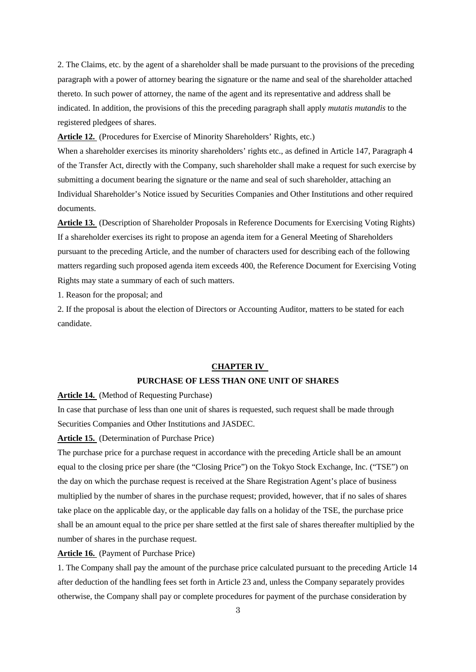2. The Claims, etc. by the agent of a shareholder shall be made pursuant to the provisions of the preceding paragraph with a power of attorney bearing the signature or the name and seal of the shareholder attached thereto. In such power of attorney, the name of the agent and its representative and address shall be indicated. In addition, the provisions of this the preceding paragraph shall apply *mutatis mutandis* to the registered pledgees of shares.

**Article 12.** (Procedures for Exercise of Minority Shareholders' Rights, etc.)

When a shareholder exercises its minority shareholders' rights etc., as defined in Article 147, Paragraph 4 of the Transfer Act, directly with the Company, such shareholder shall make a request for such exercise by submitting a document bearing the signature or the name and seal of such shareholder, attaching an Individual Shareholder's Notice issued by Securities Companies and Other Institutions and other required documents.

**Article 13.** (Description of Shareholder Proposals in Reference Documents for Exercising Voting Rights) If a shareholder exercises its right to propose an agenda item for a General Meeting of Shareholders pursuant to the preceding Article, and the number of characters used for describing each of the following matters regarding such proposed agenda item exceeds 400, the Reference Document for Exercising Voting Rights may state a summary of each of such matters.

1. Reason for the proposal; and

2. If the proposal is about the election of Directors or Accounting Auditor, matters to be stated for each candidate.

### **CHAPTER IV**

## **PURCHASE OF LESS THAN ONE UNIT OF SHARES**

**Article 14.** (Method of Requesting Purchase)

In case that purchase of less than one unit of shares is requested, such request shall be made through Securities Companies and Other Institutions and JASDEC.

**Article 15.** (Determination of Purchase Price)

The purchase price for a purchase request in accordance with the preceding Article shall be an amount equal to the closing price per share (the "Closing Price") on the Tokyo Stock Exchange, Inc. ("TSE") on the day on which the purchase request is received at the Share Registration Agent's place of business multiplied by the number of shares in the purchase request; provided, however, that if no sales of shares take place on the applicable day, or the applicable day falls on a holiday of the TSE, the purchase price shall be an amount equal to the price per share settled at the first sale of shares thereafter multiplied by the number of shares in the purchase request.

**Article 16.** (Payment of Purchase Price)

1. The Company shall pay the amount of the purchase price calculated pursuant to the preceding Article 14 after deduction of the handling fees set forth in Article 23 and, unless the Company separately provides otherwise, the Company shall pay or complete procedures for payment of the purchase consideration by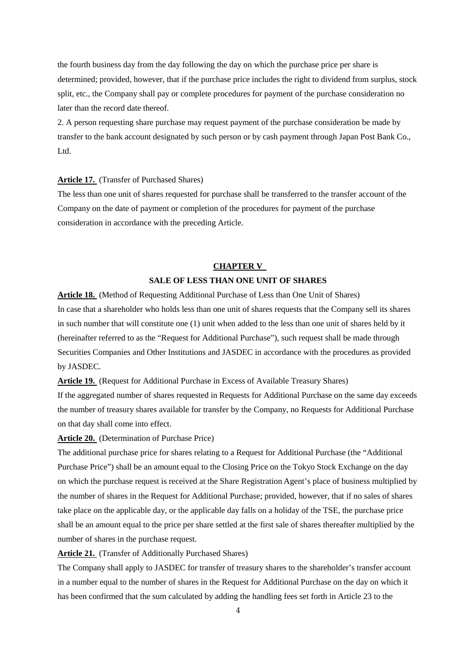the fourth business day from the day following the day on which the purchase price per share is determined; provided, however, that if the purchase price includes the right to dividend from surplus, stock split, etc., the Company shall pay or complete procedures for payment of the purchase consideration no later than the record date thereof.

2. A person requesting share purchase may request payment of the purchase consideration be made by transfer to the bank account designated by such person or by cash payment through Japan Post Bank Co., Ltd.

### **Article 17.** (Transfer of Purchased Shares)

The less than one unit of shares requested for purchase shall be transferred to the transfer account of the Company on the date of payment or completion of the procedures for payment of the purchase consideration in accordance with the preceding Article.

# **CHAPTER V SALE OF LESS THAN ONE UNIT OF SHARES**

**Article 18.** (Method of Requesting Additional Purchase of Less than One Unit of Shares) In case that a shareholder who holds less than one unit of shares requests that the Company sell its shares in such number that will constitute one (1) unit when added to the less than one unit of shares held by it (hereinafter referred to as the "Request for Additional Purchase"), such request shall be made through Securities Companies and Other Institutions and JASDEC in accordance with the procedures as provided by JASDEC.

**Article 19.** (Request for Additional Purchase in Excess of Available Treasury Shares)

If the aggregated number of shares requested in Requests for Additional Purchase on the same day exceeds the number of treasury shares available for transfer by the Company, no Requests for Additional Purchase on that day shall come into effect.

### **Article 20.** (Determination of Purchase Price)

The additional purchase price for shares relating to a Request for Additional Purchase (the "Additional Purchase Price") shall be an amount equal to the Closing Price on the Tokyo Stock Exchange on the day on which the purchase request is received at the Share Registration Agent's place of business multiplied by the number of shares in the Request for Additional Purchase; provided, however, that if no sales of shares take place on the applicable day, or the applicable day falls on a holiday of the TSE, the purchase price shall be an amount equal to the price per share settled at the first sale of shares thereafter multiplied by the number of shares in the purchase request.

**Article 21.** (Transfer of Additionally Purchased Shares)

The Company shall apply to JASDEC for transfer of treasury shares to the shareholder's transfer account in a number equal to the number of shares in the Request for Additional Purchase on the day on which it has been confirmed that the sum calculated by adding the handling fees set forth in Article 23 to the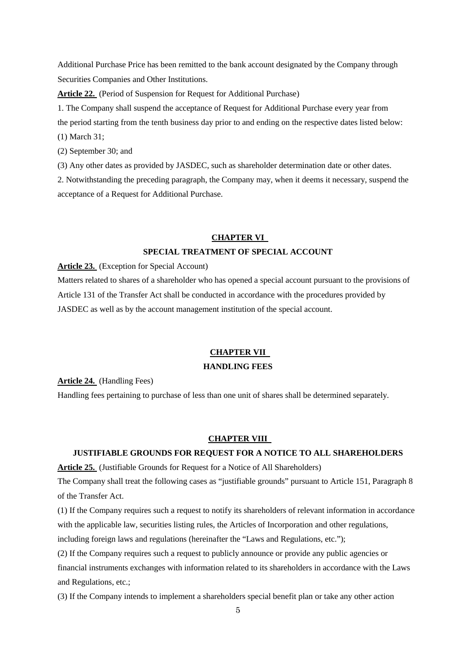Additional Purchase Price has been remitted to the bank account designated by the Company through Securities Companies and Other Institutions.

**Article 22.** (Period of Suspension for Request for Additional Purchase)

1. The Company shall suspend the acceptance of Request for Additional Purchase every year from the period starting from the tenth business day prior to and ending on the respective dates listed below: (1) March 31;

(2) September 30; and

(3) Any other dates as provided by JASDEC, such as shareholder determination date or other dates.

2. Notwithstanding the preceding paragraph, the Company may, when it deems it necessary, suspend the acceptance of a Request for Additional Purchase.

# **CHAPTER VI SPECIAL TREATMENT OF SPECIAL ACCOUNT**

**Article 23.** (Exception for Special Account)

Matters related to shares of a shareholder who has opened a special account pursuant to the provisions of Article 131 of the Transfer Act shall be conducted in accordance with the procedures provided by JASDEC as well as by the account management institution of the special account.

# **CHAPTER VII**

# **HANDLING FEES**

**Article 24.** (Handling Fees)

Handling fees pertaining to purchase of less than one unit of shares shall be determined separately.

### **CHAPTER VIII**

# **JUSTIFIABLE GROUNDS FOR REQUEST FOR A NOTICE TO ALL SHAREHOLDERS**

**Article 25.** (Justifiable Grounds for Request for a Notice of All Shareholders)

The Company shall treat the following cases as "justifiable grounds" pursuant to Article 151, Paragraph 8 of the Transfer Act.

(1) If the Company requires such a request to notify its shareholders of relevant information in accordance with the applicable law, securities listing rules, the Articles of Incorporation and other regulations, including foreign laws and regulations (hereinafter the "Laws and Regulations, etc.");

(2) If the Company requires such a request to publicly announce or provide any public agencies or financial instruments exchanges with information related to its shareholders in accordance with the Laws and Regulations, etc.;

(3) If the Company intends to implement a shareholders special benefit plan or take any other action